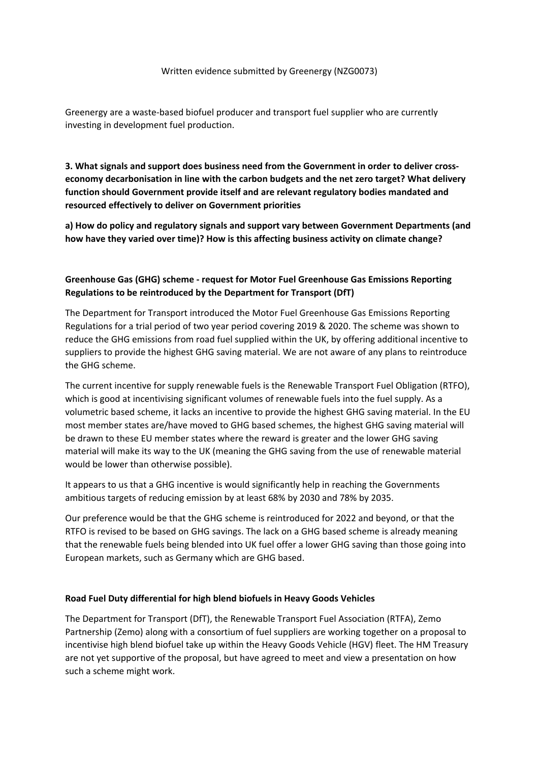## Written evidence submitted by Greenergy (NZG0073)

Greenergy are a waste-based biofuel producer and transport fuel supplier who are currently investing in development fuel production.

**3. What signals and support does business need from the Government in order to deliver crosseconomy decarbonisation in line with the carbon budgets and the net zero target? What delivery function should Government provide itself and are relevant regulatory bodies mandated and resourced effectively to deliver on Government priorities**

**a) How do policy and regulatory signals and support vary between Government Departments (and how have they varied over time)? How is this affecting business activity on climate change?**

## **Greenhouse Gas (GHG) scheme - request for Motor Fuel Greenhouse Gas Emissions Reporting Regulations to be reintroduced by the Department for Transport (DfT)**

The Department for Transport introduced the Motor Fuel Greenhouse Gas Emissions Reporting Regulations for a trial period of two year period covering 2019 & 2020. The scheme was shown to reduce the GHG emissions from road fuel supplied within the UK, by offering additional incentive to suppliers to provide the highest GHG saving material. We are not aware of any plans to reintroduce the GHG scheme.

The current incentive for supply renewable fuels is the Renewable Transport Fuel Obligation (RTFO), which is good at incentivising significant volumes of renewable fuels into the fuel supply. As a volumetric based scheme, it lacks an incentive to provide the highest GHG saving material. In the EU most member states are/have moved to GHG based schemes, the highest GHG saving material will be drawn to these EU member states where the reward is greater and the lower GHG saving material will make its way to the UK (meaning the GHG saving from the use of renewable material would be lower than otherwise possible).

It appears to us that a GHG incentive is would significantly help in reaching the Governments ambitious targets of reducing emission by at least 68% by 2030 and 78% by 2035.

Our preference would be that the GHG scheme is reintroduced for 2022 and beyond, or that the RTFO is revised to be based on GHG savings. The lack on a GHG based scheme is already meaning that the renewable fuels being blended into UK fuel offer a lower GHG saving than those going into European markets, such as Germany which are GHG based.

## **Road Fuel Duty differential for high blend biofuels in Heavy Goods Vehicles**

The Department for Transport (DfT), the Renewable Transport Fuel Association (RTFA), Zemo Partnership (Zemo) along with a consortium of fuel suppliers are working together on a proposal to incentivise high blend biofuel take up within the Heavy Goods Vehicle (HGV) fleet. The HM Treasury are not yet supportive of the proposal, but have agreed to meet and view a presentation on how such a scheme might work.